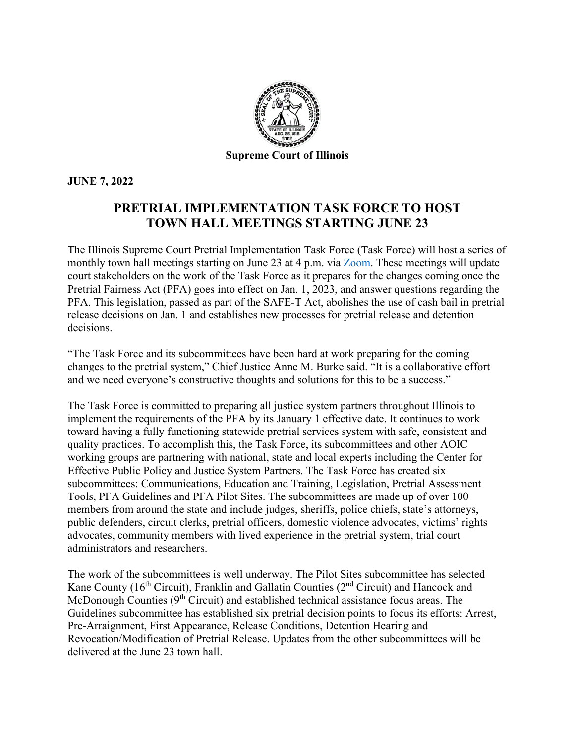

**JUNE 7, 2022**

## **PRETRIAL IMPLEMENTATION TASK FORCE TO HOST TOWN HALL MEETINGS STARTING JUNE 23**

The Illinois Supreme Court Pretrial Implementation Task Force (Task Force) will host a series of monthly town hall meetings starting on June 23 at 4 p.m. via [Zoom.](https://zoom.us/j/98701042992?pwd=ZmJlNkJUWFY3WFd5ZkxScGJTR2Nvdz09) These meetings will update court stakeholders on the work of the Task Force as it prepares for the changes coming once the Pretrial Fairness Act (PFA) goes into effect on Jan. 1, 2023, and answer questions regarding the PFA. This legislation, passed as part of the SAFE-T Act, abolishes the use of cash bail in pretrial release decisions on Jan. 1 and establishes new processes for pretrial release and detention decisions.

"The Task Force and its subcommittees have been hard at work preparing for the coming changes to the pretrial system," Chief Justice Anne M. Burke said. "It is a collaborative effort and we need everyone's constructive thoughts and solutions for this to be a success."

The Task Force is committed to preparing all justice system partners throughout Illinois to implement the requirements of the PFA by its January 1 effective date. It continues to work toward having a fully functioning statewide pretrial services system with safe, consistent and quality practices. To accomplish this, the Task Force, its subcommittees and other AOIC working groups are partnering with national, state and local experts including the Center for Effective Public Policy and Justice System Partners. The Task Force has created six subcommittees: Communications, Education and Training, Legislation, Pretrial Assessment Tools, PFA Guidelines and PFA Pilot Sites. The subcommittees are made up of over 100 members from around the state and include judges, sheriffs, police chiefs, state's attorneys, public defenders, circuit clerks, pretrial officers, domestic violence advocates, victims' rights advocates, community members with lived experience in the pretrial system, trial court administrators and researchers.

The work of the subcommittees is well underway. The Pilot Sites subcommittee has selected Kane County (16<sup>th</sup> Circuit), Franklin and Gallatin Counties ( $2<sup>nd</sup>$  Circuit) and Hancock and McDonough Counties  $(9<sup>th</sup> Circuit)$  and established technical assistance focus areas. The Guidelines subcommittee has established six pretrial decision points to focus its efforts: Arrest, Pre-Arraignment, First Appearance, Release Conditions, Detention Hearing and Revocation/Modification of Pretrial Release. Updates from the other subcommittees will be delivered at the June 23 town hall.